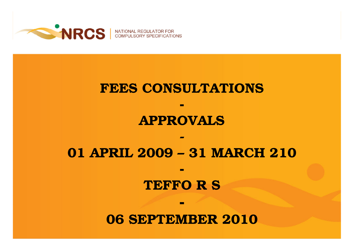

NATIONAL RE

#### FEES CONSULTATIONS

**-** 

### APPROVALS

#### 01 APRIL 2009 – 31 MARCH 210

**-** 

-

#### TEFFO R S

#### 06 SEPTEMBER 2010

**-**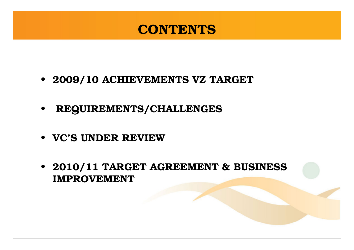#### **CONTENTS**

- 2009/10 ACHIEVEMENTS VZ TARGET
- REQUIREMENTS/CHALLENGES
- VC'S UNDER REVIEW
- 2010/11 TARGET AGREEMENT & BUSINESS IMPROVEMENT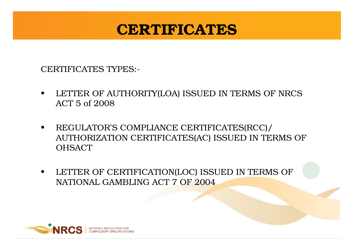### CERTIFICATES

CERTIFICATES TYPES:-

- • LETTER OF AUTHORITY(LOA) ISSUED IN TERMS OF NRCS ACT 5 of 2008
- • REGULATOR'S COMPLIANCE CERTIFICATES(RCC)/ AUTHORIZATION CERTIFICATES(AC) ISSUED IN TERMS OF **OHSACT**
- • LETTER OF CERTIFICATION(LOC) ISSUED IN TERMS OF NATIONAL GAMBLING ACT 7 OF 2004

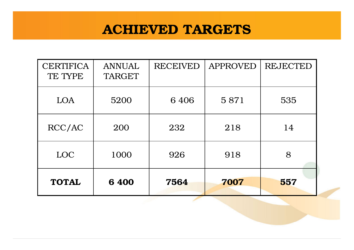#### ACHIEVED TARGETS

| <b>CERTIFICA</b><br>TE TYPE | <b>ANNUAL</b><br><b>TARGET</b> | <b>RECEIVED</b> | <b>APPROVED</b> | <b>REJECTED</b> |
|-----------------------------|--------------------------------|-----------------|-----------------|-----------------|
| LOA                         | 5200                           | 6 4 0 6         | 5871            | 535             |
| RCC/AC                      | 200                            | 232             | 218             | 14              |
| LOC                         | 1000                           | 926             | 918             | 8               |
| <b>TOTAL</b>                | 6400                           | 7564            | 7007            | 557             |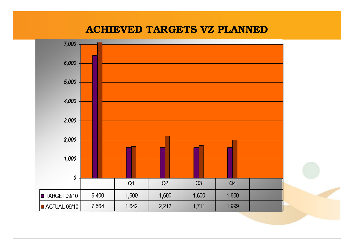#### ACHIEVED TARGETS VZ PLANNED

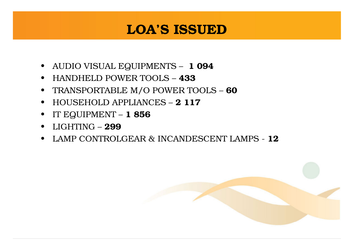#### LOA'S ISSUED

- AUDIO VISUAL EQUIPMENTS **1 094**
- HANDHELD POWER TOOLS <sup>433</sup>
- TRANSPORTABLE M/O POWER TOOLS <sup>60</sup>
- HOUSEHOLD APPLIANCES **2 117**
- IT EQUIPMENT  $1856$
- LIGHTING **299**
- LAMP CONTROLGEAR & INCANDESCENT LAMPS 12

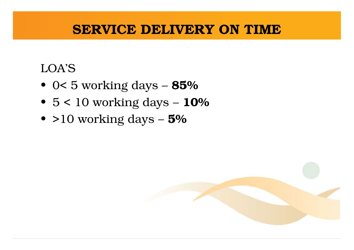#### SERVICE DELIVERY ON TIME

#### LOA'S

- 0< 5 working days **85%**
- $\bullet\,$  5  $< 10$  working days  $\rm 10\%$
- $\bullet$  >10 working days  $5\%$

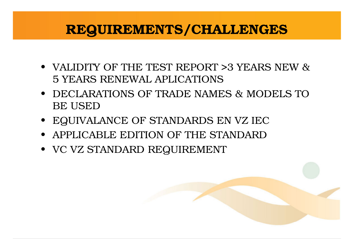#### REQUIREMENTS/CHALLENGES

- VALIDITY OF THE TEST REPORT >3 YEARS NEW & 5 YEARS RENEWAL APLICATIONS
- DECLARATIONS OF TRADE NAMES & MODELS TO BE USED
- EQUIVALANCE OF STANDARDS EN VZ IEC
- APPLICABLE EDITION OF THE STANDARD
- VC VZ STANDARD REQUIREMENT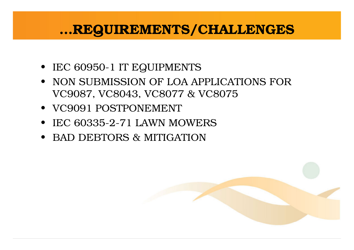#### …REQUIREMENTS/CHALLENGES

- IEC 60950-1 IT EQUIPMENTS
- NON SUBMISSION OF LOA APPLICATIONS FOR VC9087, VC8043, VC8077 & VC8075
- VC9091 POSTPONEMENT
- IEC 60335-2-71 LAWN MOWERS
- BAD DEBTORS & MITIGATION

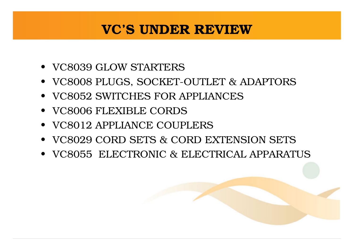#### VC'S UNDER REVIEW

- VC8039 GLOW STARTERS
- VC8008 PLUGS, SOCKET-OUTLET & ADAPTORS
- VC8052 SWITCHES FOR APPLIANCES
- VC8006 FLEXIBLE CORDS
- VC8012 APPLIANCE COUPLERS
- VC8029 CORD SETS & CORD EXTENSION SETS
- VC8055 ELECTRONIC & ELECTRICAL APPARATUS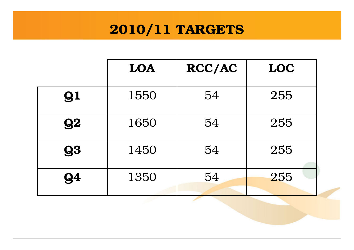## 2010/11 TARGETS

|           | LOA  | <b>RCC/AC</b> | LOC |
|-----------|------|---------------|-----|
| 91        | 1550 | 54            | 255 |
| 92        | 1650 | 54            | 255 |
| <b>93</b> | 1450 | 54            | 255 |
| 94        | 1350 | 54            | 255 |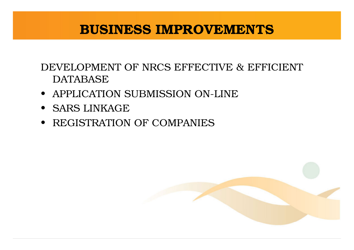#### BUSINESS IMPROVEMENTS

#### DEVELOPMENT OF NRCS EFFECTIVE & EFFICIENT DATABASE

- APPLICATION SUBMISSION ON-LINE
- SARS LINKAGE
- REGISTRATION OF COMPANIES